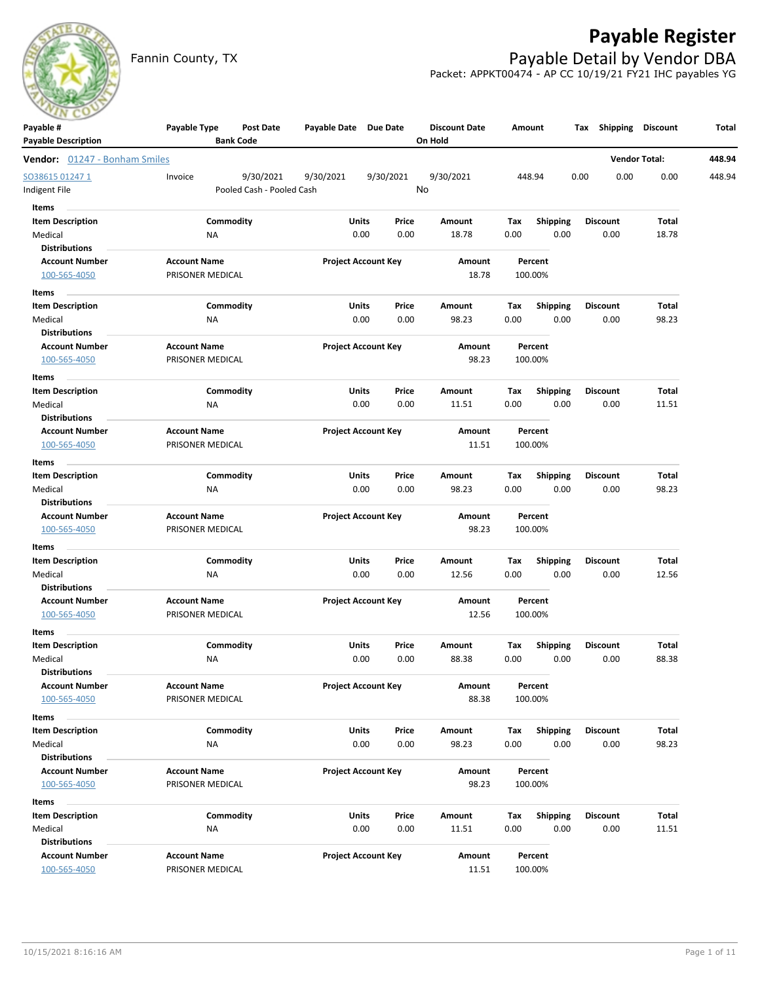## **Payable Register**



Fannin County, TX **Payable Detail by Vendor DBA** Packet: APPKT00474 - AP CC 10/19/21 FY21 IHC payables YG

| Payable #                     | Payable Type        | <b>Post Date</b>          | Payable Date Due Date |                            | <b>Discount Date</b> |      | Amount          | Tax  | <b>Shipping</b> | <b>Discount</b>      | Total  |
|-------------------------------|---------------------|---------------------------|-----------------------|----------------------------|----------------------|------|-----------------|------|-----------------|----------------------|--------|
| <b>Payable Description</b>    |                     | <b>Bank Code</b>          |                       |                            | On Hold              |      |                 |      |                 |                      |        |
| Vendor: 01247 - Bonham Smiles |                     |                           |                       |                            |                      |      |                 |      |                 | <b>Vendor Total:</b> | 448.94 |
| SO38615 01247 1               | Invoice             | 9/30/2021                 | 9/30/2021             | 9/30/2021                  | 9/30/2021            |      | 448.94          | 0.00 | 0.00            | 0.00                 | 448.94 |
| Indigent File                 |                     | Pooled Cash - Pooled Cash |                       |                            | No                   |      |                 |      |                 |                      |        |
| Items                         |                     |                           |                       |                            |                      |      |                 |      |                 |                      |        |
| <b>Item Description</b>       |                     | Commodity                 | Units                 | Price                      | Amount               | Tax  | Shipping        |      | <b>Discount</b> | Total                |        |
| Medical                       | ΝA                  |                           |                       | 0.00<br>0.00               | 18.78                | 0.00 | 0.00            |      | 0.00            | 18.78                |        |
| <b>Distributions</b>          |                     |                           |                       |                            |                      |      |                 |      |                 |                      |        |
| <b>Account Number</b>         | <b>Account Name</b> |                           |                       | <b>Project Account Key</b> | Amount               |      | Percent         |      |                 |                      |        |
| 100-565-4050                  | PRISONER MEDICAL    |                           |                       |                            | 18.78                |      | 100.00%         |      |                 |                      |        |
| Items                         |                     |                           |                       |                            |                      |      |                 |      |                 |                      |        |
| <b>Item Description</b>       |                     | Commodity                 | Units                 | Price                      | Amount               | Tax  | <b>Shipping</b> |      | Discount        | Total                |        |
| Medical                       | <b>NA</b>           |                           |                       | 0.00<br>0.00               | 98.23                | 0.00 | 0.00            |      | 0.00            | 98.23                |        |
| <b>Distributions</b>          |                     |                           |                       |                            |                      |      |                 |      |                 |                      |        |
| <b>Account Number</b>         | <b>Account Name</b> |                           |                       | <b>Project Account Key</b> | Amount               |      | Percent         |      |                 |                      |        |
| 100-565-4050                  | PRISONER MEDICAL    |                           |                       |                            | 98.23                |      | 100.00%         |      |                 |                      |        |
| Items                         |                     |                           |                       |                            |                      |      |                 |      |                 |                      |        |
| Item Description              |                     | Commodity                 | Units                 | Price                      | Amount               | Tax  | <b>Shipping</b> |      | <b>Discount</b> | Total                |        |
| Medical                       | NA                  |                           |                       | 0.00<br>0.00               | 11.51                | 0.00 | 0.00            |      | 0.00            | 11.51                |        |
| <b>Distributions</b>          |                     |                           |                       |                            |                      |      |                 |      |                 |                      |        |
| <b>Account Number</b>         | <b>Account Name</b> |                           |                       | <b>Project Account Key</b> | Amount               |      | Percent         |      |                 |                      |        |
| 100-565-4050                  | PRISONER MEDICAL    |                           |                       |                            | 11.51                |      | 100.00%         |      |                 |                      |        |
| Items                         |                     |                           |                       |                            |                      |      |                 |      |                 |                      |        |
| <b>Item Description</b>       |                     | Commodity                 | Units                 | Price                      | Amount               | Tax  | <b>Shipping</b> |      | <b>Discount</b> | Total                |        |
| Medical                       | NA                  |                           |                       | 0.00<br>0.00               | 98.23                | 0.00 | 0.00            |      | 0.00            | 98.23                |        |
| <b>Distributions</b>          |                     |                           |                       |                            |                      |      |                 |      |                 |                      |        |
| <b>Account Number</b>         | <b>Account Name</b> |                           |                       | <b>Project Account Key</b> | Amount               |      | Percent         |      |                 |                      |        |
| 100-565-4050                  | PRISONER MEDICAL    |                           |                       |                            | 98.23                |      | 100.00%         |      |                 |                      |        |
| Items                         |                     |                           |                       |                            |                      |      |                 |      |                 |                      |        |
| <b>Item Description</b>       |                     | Commodity                 | Units                 | Price                      | Amount               | Tax  | <b>Shipping</b> |      | Discount        | Total                |        |
| Medical                       | NA                  |                           |                       | 0.00<br>0.00               | 12.56                | 0.00 | 0.00            |      | 0.00            | 12.56                |        |
| <b>Distributions</b>          |                     |                           |                       |                            |                      |      |                 |      |                 |                      |        |
| <b>Account Number</b>         | <b>Account Name</b> |                           |                       | <b>Project Account Key</b> | Amount               |      | Percent         |      |                 |                      |        |
| 100-565-4050                  | PRISONER MEDICAL    |                           |                       |                            | 12.56                |      | 100.00%         |      |                 |                      |        |
| Items                         |                     |                           |                       |                            |                      |      |                 |      |                 |                      |        |
| <b>Item Description</b>       |                     | Commodity                 | Units                 | Price                      | Amount               | Tax  | <b>Shipping</b> |      | <b>Discount</b> | Total                |        |
| Medical                       | ΝA                  |                           |                       | 0.00<br>0.00               | 88.38                | 0.00 | 0.00            |      | 0.00            | 88.38                |        |
| <b>Distributions</b>          |                     |                           |                       |                            |                      |      |                 |      |                 |                      |        |
| <b>Account Number</b>         | <b>Account Name</b> |                           |                       | <b>Project Account Key</b> | Amount               |      | Percent         |      |                 |                      |        |
| 100-565-4050                  | PRISONER MEDICAL    |                           |                       |                            | 88.38                |      | 100.00%         |      |                 |                      |        |
| Items                         |                     |                           |                       |                            |                      |      |                 |      |                 |                      |        |
| <b>Item Description</b>       |                     | Commodity                 | Units                 | Price                      | Amount               | Tax  | <b>Shipping</b> |      | Discount        | Total                |        |
| Medical                       | <b>NA</b>           |                           |                       | 0.00<br>0.00               | 98.23                | 0.00 | 0.00            |      | 0.00            | 98.23                |        |
| <b>Distributions</b>          |                     |                           |                       |                            |                      |      |                 |      |                 |                      |        |
| <b>Account Number</b>         | <b>Account Name</b> |                           |                       | <b>Project Account Key</b> | Amount               |      | Percent         |      |                 |                      |        |
| 100-565-4050                  | PRISONER MEDICAL    |                           |                       |                            | 98.23                |      | 100.00%         |      |                 |                      |        |
| Items                         |                     |                           |                       |                            |                      |      |                 |      |                 |                      |        |
| <b>Item Description</b>       |                     | Commodity                 | Units                 | Price                      | Amount               | Tax  | <b>Shipping</b> |      | <b>Discount</b> | Total                |        |
| Medical                       | NA                  |                           |                       | 0.00<br>0.00               | 11.51                | 0.00 | 0.00            |      | 0.00            | 11.51                |        |
| <b>Distributions</b>          |                     |                           |                       |                            |                      |      |                 |      |                 |                      |        |
| <b>Account Number</b>         | <b>Account Name</b> |                           |                       | <b>Project Account Key</b> | Amount               |      | Percent         |      |                 |                      |        |
| 100-565-4050                  | PRISONER MEDICAL    |                           |                       |                            | 11.51                |      | 100.00%         |      |                 |                      |        |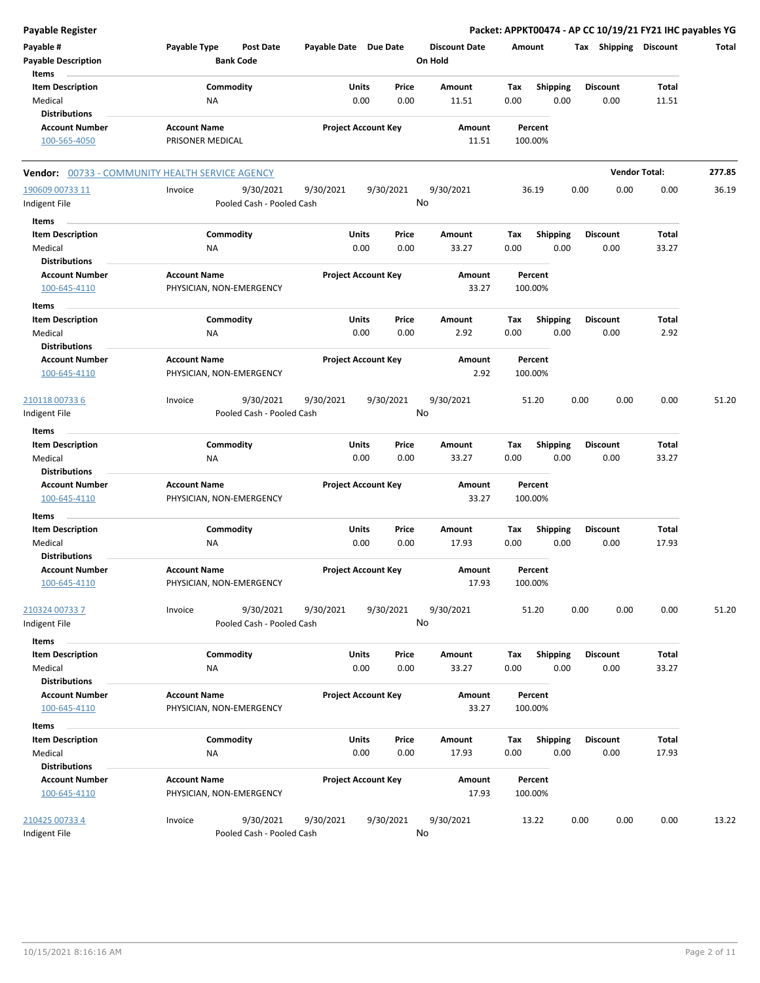| <b>Payable Register</b>                                |                                  |                           |                       |                            |                                 |             |                         |      |                       | Packet: APPKT00474 - AP CC 10/19/21 FY21 IHC payables YG |        |
|--------------------------------------------------------|----------------------------------|---------------------------|-----------------------|----------------------------|---------------------------------|-------------|-------------------------|------|-----------------------|----------------------------------------------------------|--------|
| Payable #<br><b>Payable Description</b>                | Payable Type<br><b>Bank Code</b> | <b>Post Date</b>          | Payable Date Due Date |                            | <b>Discount Date</b><br>On Hold | Amount      |                         |      | Tax Shipping Discount |                                                          | Total  |
| Items                                                  |                                  |                           | Units                 | Price                      |                                 |             |                         |      | <b>Discount</b>       | Total                                                    |        |
| <b>Item Description</b><br>Medical                     | Commodity<br>NA                  |                           | 0.00                  | 0.00                       | Amount<br>11.51                 | Tax<br>0.00 | <b>Shipping</b><br>0.00 |      | 0.00                  | 11.51                                                    |        |
| <b>Distributions</b>                                   |                                  |                           |                       |                            |                                 |             |                         |      |                       |                                                          |        |
| <b>Account Number</b>                                  | <b>Account Name</b>              |                           |                       | <b>Project Account Key</b> | Amount                          | Percent     |                         |      |                       |                                                          |        |
| 100-565-4050                                           | PRISONER MEDICAL                 |                           |                       |                            | 11.51                           | 100.00%     |                         |      |                       |                                                          |        |
| <b>Vendor: 00733 - COMMUNITY HEALTH SERVICE AGENCY</b> |                                  |                           |                       |                            |                                 |             |                         |      |                       | <b>Vendor Total:</b>                                     | 277.85 |
| 190609 00733 11                                        | Invoice                          | 9/30/2021                 | 9/30/2021             | 9/30/2021                  | 9/30/2021                       | 36.19       |                         | 0.00 | 0.00                  | 0.00                                                     | 36.19  |
| Indigent File                                          |                                  | Pooled Cash - Pooled Cash |                       |                            | No                              |             |                         |      |                       |                                                          |        |
| Items                                                  |                                  |                           |                       |                            |                                 |             |                         |      |                       |                                                          |        |
| <b>Item Description</b>                                | Commodity                        |                           | Units                 | Price                      | Amount                          | Tax         | <b>Shipping</b>         |      | <b>Discount</b>       | Total                                                    |        |
| Medical                                                | ΝA                               |                           | 0.00                  | 0.00                       | 33.27                           | 0.00        | 0.00                    |      | 0.00                  | 33.27                                                    |        |
| <b>Distributions</b>                                   |                                  |                           |                       |                            |                                 |             |                         |      |                       |                                                          |        |
| <b>Account Number</b>                                  | <b>Account Name</b>              |                           |                       | <b>Project Account Key</b> | Amount                          | Percent     |                         |      |                       |                                                          |        |
| 100-645-4110                                           | PHYSICIAN, NON-EMERGENCY         |                           |                       |                            | 33.27                           | 100.00%     |                         |      |                       |                                                          |        |
| Items                                                  |                                  |                           |                       |                            |                                 |             |                         |      |                       |                                                          |        |
| <b>Item Description</b>                                | Commodity                        |                           | Units                 | Price                      | Amount                          | Tax         | <b>Shipping</b>         |      | <b>Discount</b>       | Total                                                    |        |
| Medical                                                | <b>NA</b>                        |                           | 0.00                  | 0.00                       | 2.92                            | 0.00        | 0.00                    |      | 0.00                  | 2.92                                                     |        |
| <b>Distributions</b>                                   |                                  |                           |                       |                            |                                 |             |                         |      |                       |                                                          |        |
| <b>Account Number</b>                                  | <b>Account Name</b>              |                           |                       | <b>Project Account Key</b> | Amount                          | Percent     |                         |      |                       |                                                          |        |
| 100-645-4110                                           | PHYSICIAN, NON-EMERGENCY         |                           |                       |                            | 2.92                            | 100.00%     |                         |      |                       |                                                          |        |
| 210118 00733 6                                         | Invoice                          | 9/30/2021                 | 9/30/2021             | 9/30/2021                  | 9/30/2021                       | 51.20       |                         | 0.00 | 0.00                  | 0.00                                                     | 51.20  |
| Indigent File                                          |                                  | Pooled Cash - Pooled Cash |                       |                            | No                              |             |                         |      |                       |                                                          |        |
| Items                                                  |                                  |                           |                       |                            |                                 |             |                         |      |                       |                                                          |        |
| <b>Item Description</b>                                | Commodity                        |                           | Units                 | Price                      | Amount                          | Tax         | <b>Shipping</b>         |      | <b>Discount</b>       | Total                                                    |        |
| Medical                                                | NA                               |                           | 0.00                  | 0.00                       | 33.27                           | 0.00        | 0.00                    |      | 0.00                  | 33.27                                                    |        |
| <b>Distributions</b>                                   |                                  |                           |                       |                            |                                 |             |                         |      |                       |                                                          |        |
| <b>Account Number</b>                                  | <b>Account Name</b>              |                           |                       | <b>Project Account Key</b> | Amount                          | Percent     |                         |      |                       |                                                          |        |
| 100-645-4110                                           | PHYSICIAN, NON-EMERGENCY         |                           |                       |                            | 33.27                           | 100.00%     |                         |      |                       |                                                          |        |
| Items                                                  |                                  |                           |                       |                            |                                 |             |                         |      |                       |                                                          |        |
| <b>Item Description</b>                                | Commodity                        |                           | Units                 | Price                      | Amount                          | Tax         | <b>Shipping</b>         |      | <b>Discount</b>       | <b>Total</b>                                             |        |
| Medical                                                | ΝA                               |                           | 0.00                  | 0.00                       | 17.93                           | 0.00        | 0.00                    |      | 0.00                  | 17.93                                                    |        |
| <b>Distributions</b>                                   |                                  |                           |                       |                            |                                 |             |                         |      |                       |                                                          |        |
| <b>Account Number</b>                                  | <b>Account Name</b>              |                           |                       | <b>Project Account Key</b> | Amount                          | Percent     |                         |      |                       |                                                          |        |
| 100-645-4110                                           | PHYSICIAN, NON-EMERGENCY         |                           |                       |                            | 17.93                           | 100.00%     |                         |      |                       |                                                          |        |
| 210324 00733 7                                         | Invoice                          | 9/30/2021                 | 9/30/2021             | 9/30/2021                  | 9/30/2021                       | 51.20       |                         | 0.00 | 0.00                  | 0.00                                                     | 51.20  |
| Indigent File                                          |                                  | Pooled Cash - Pooled Cash |                       |                            | No                              |             |                         |      |                       |                                                          |        |
| Items                                                  |                                  |                           |                       |                            |                                 |             |                         |      |                       |                                                          |        |
| <b>Item Description</b>                                | Commodity                        |                           | Units                 | Price                      | Amount                          | Tax         | <b>Shipping</b>         |      | <b>Discount</b>       | Total                                                    |        |
| Medical                                                | NA                               |                           | 0.00                  | 0.00                       | 33.27                           | 0.00        | 0.00                    |      | 0.00                  | 33.27                                                    |        |
| <b>Distributions</b>                                   |                                  |                           |                       |                            |                                 |             |                         |      |                       |                                                          |        |
| <b>Account Number</b>                                  | <b>Account Name</b>              |                           |                       | <b>Project Account Key</b> | Amount                          | Percent     |                         |      |                       |                                                          |        |
| 100-645-4110                                           | PHYSICIAN, NON-EMERGENCY         |                           |                       |                            | 33.27                           | 100.00%     |                         |      |                       |                                                          |        |
| Items                                                  |                                  |                           |                       |                            |                                 |             |                         |      |                       |                                                          |        |
| <b>Item Description</b>                                | Commodity                        |                           | Units                 | Price                      | Amount                          | Tax         | <b>Shipping</b>         |      | <b>Discount</b>       | Total                                                    |        |
| Medical                                                | NA                               |                           | 0.00                  | 0.00                       | 17.93                           | 0.00        | 0.00                    |      | 0.00                  | 17.93                                                    |        |
| <b>Distributions</b>                                   |                                  |                           |                       |                            |                                 |             |                         |      |                       |                                                          |        |
| <b>Account Number</b>                                  | <b>Account Name</b>              |                           |                       | <b>Project Account Key</b> | Amount                          | Percent     |                         |      |                       |                                                          |        |
| 100-645-4110                                           | PHYSICIAN, NON-EMERGENCY         |                           |                       |                            | 17.93                           | 100.00%     |                         |      |                       |                                                          |        |
| 210425 00733 4                                         | Invoice                          | 9/30/2021                 | 9/30/2021             | 9/30/2021                  | 9/30/2021                       | 13.22       |                         | 0.00 | 0.00                  | 0.00                                                     | 13.22  |
| Indigent File                                          |                                  | Pooled Cash - Pooled Cash |                       |                            | No                              |             |                         |      |                       |                                                          |        |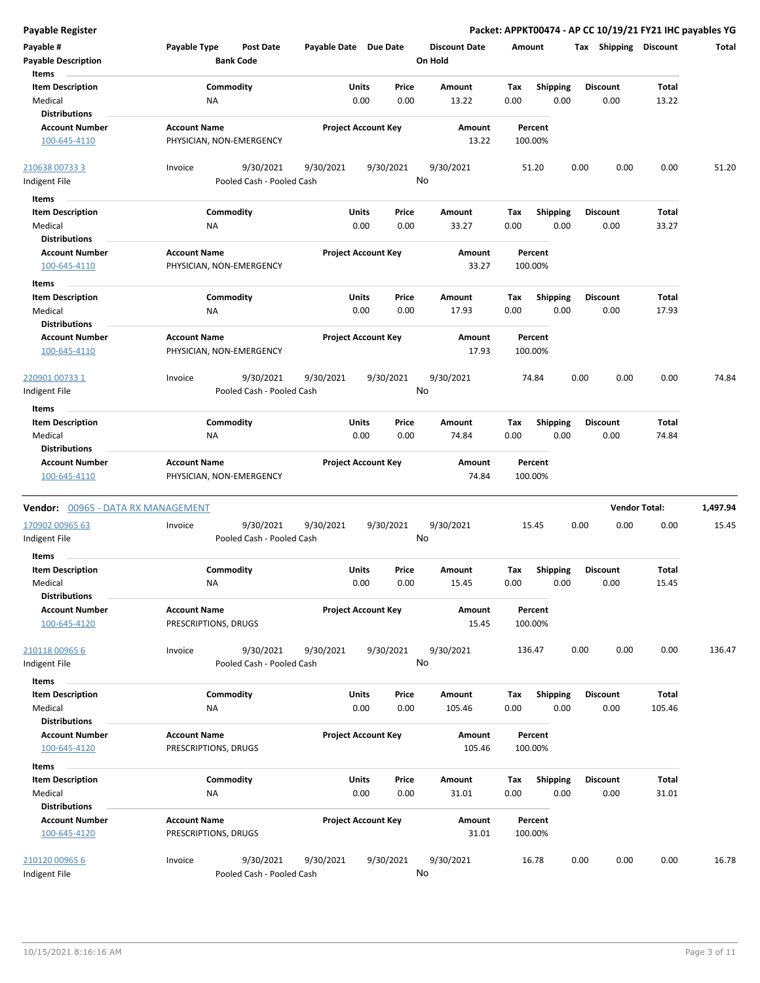| Payable Register                      |                                                 |                            |           |                      | Packet: APPKT00474 - AP CC 10/19/21 FY21 IHC payables YG |      |                       |                      |          |
|---------------------------------------|-------------------------------------------------|----------------------------|-----------|----------------------|----------------------------------------------------------|------|-----------------------|----------------------|----------|
| Payable #                             | Payable Type<br><b>Post Date</b>                | Payable Date Due Date      |           | <b>Discount Date</b> | Amount                                                   |      | Tax Shipping Discount |                      | Total    |
| <b>Payable Description</b>            | <b>Bank Code</b>                                |                            |           | On Hold              |                                                          |      |                       |                      |          |
| Items                                 |                                                 |                            |           |                      |                                                          |      |                       |                      |          |
| <b>Item Description</b>               | Commodity                                       | Units                      | Price     | Amount               | Shipping<br>Tax                                          |      | <b>Discount</b>       | <b>Total</b>         |          |
| Medical                               | ΝA                                              | 0.00                       | 0.00      | 13.22                | 0.00                                                     | 0.00 | 0.00                  | 13.22                |          |
| <b>Distributions</b>                  |                                                 |                            |           |                      |                                                          |      |                       |                      |          |
| <b>Account Number</b>                 | <b>Account Name</b>                             | <b>Project Account Key</b> |           | Amount               | Percent                                                  |      |                       |                      |          |
| 100-645-4110                          | PHYSICIAN, NON-EMERGENCY                        |                            |           | 13.22                | 100.00%                                                  |      |                       |                      |          |
| 210638 00733 3                        | 9/30/2021<br>Invoice                            | 9/30/2021                  | 9/30/2021 | 9/30/2021            | 51.20                                                    | 0.00 | 0.00                  | 0.00                 | 51.20    |
| Indigent File                         | Pooled Cash - Pooled Cash                       |                            |           | No                   |                                                          |      |                       |                      |          |
| Items                                 |                                                 |                            |           |                      |                                                          |      |                       |                      |          |
| <b>Item Description</b>               | Commodity                                       | Units                      | Price     | Amount               | Tax<br><b>Shipping</b>                                   |      | <b>Discount</b>       | Total                |          |
| Medical                               | ΝA                                              | 0.00                       | 0.00      | 33.27                | 0.00                                                     | 0.00 | 0.00                  | 33.27                |          |
| <b>Distributions</b>                  |                                                 |                            |           |                      |                                                          |      |                       |                      |          |
| <b>Account Number</b>                 | <b>Account Name</b>                             | <b>Project Account Key</b> |           | Amount               | Percent                                                  |      |                       |                      |          |
| 100-645-4110                          | PHYSICIAN, NON-EMERGENCY                        |                            |           | 33.27                | 100.00%                                                  |      |                       |                      |          |
| Items                                 |                                                 |                            |           |                      |                                                          |      |                       |                      |          |
| <b>Item Description</b>               | Commodity                                       | Units                      | Price     | <b>Amount</b>        | <b>Shipping</b><br>Tax                                   |      | <b>Discount</b>       | Total                |          |
| Medical                               | ΝA                                              | 0.00                       | 0.00      | 17.93                | 0.00                                                     | 0.00 | 0.00                  | 17.93                |          |
| <b>Distributions</b>                  |                                                 |                            |           |                      |                                                          |      |                       |                      |          |
| <b>Account Number</b>                 | <b>Account Name</b>                             | <b>Project Account Key</b> |           | Amount               | Percent                                                  |      |                       |                      |          |
| 100-645-4110                          | PHYSICIAN, NON-EMERGENCY                        |                            |           | 17.93                | 100.00%                                                  |      |                       |                      |          |
| 220901 00733 1                        | 9/30/2021<br>Invoice                            | 9/30/2021                  | 9/30/2021 | 9/30/2021            | 74.84                                                    | 0.00 | 0.00                  | 0.00                 | 74.84    |
| Indigent File                         | Pooled Cash - Pooled Cash                       |                            |           | No                   |                                                          |      |                       |                      |          |
|                                       |                                                 |                            |           |                      |                                                          |      |                       |                      |          |
| Items                                 |                                                 |                            |           |                      |                                                          |      |                       |                      |          |
| <b>Item Description</b>               | Commodity                                       | Units                      | Price     | Amount               | <b>Shipping</b><br>Tax                                   |      | <b>Discount</b>       | Total                |          |
| Medical                               | ΝA                                              | 0.00                       | 0.00      | 74.84                | 0.00                                                     | 0.00 | 0.00                  | 74.84                |          |
| <b>Distributions</b>                  |                                                 |                            |           |                      |                                                          |      |                       |                      |          |
| <b>Account Number</b><br>100-645-4110 | <b>Account Name</b><br>PHYSICIAN, NON-EMERGENCY | <b>Project Account Key</b> |           | Amount<br>74.84      | Percent<br>100.00%                                       |      |                       |                      |          |
| Vendor: 00965 - DATA RX MANAGEMENT    |                                                 |                            |           |                      |                                                          |      |                       | <b>Vendor Total:</b> | 1,497.94 |
| 170902 00965 63                       | 9/30/2021<br>Invoice                            | 9/30/2021                  | 9/30/2021 | 9/30/2021            | 15.45                                                    | 0.00 | 0.00                  | 0.00                 | 15.45    |
|                                       | Pooled Cash - Pooled Cash                       |                            |           | No                   |                                                          |      |                       |                      |          |
| Indigent File                         |                                                 |                            |           |                      |                                                          |      |                       |                      |          |
| Items                                 |                                                 |                            |           |                      |                                                          |      |                       |                      |          |
| <b>Item Description</b>               | Commodity                                       | Units                      | Price     | Amount               | Tax<br><b>Shipping</b>                                   |      | <b>Discount</b>       | Total                |          |
| Medical                               | NA                                              | 0.00                       | 0.00      | 15.45                | 0.00                                                     | 0.00 | 0.00                  | 15.45                |          |
| <b>Distributions</b>                  |                                                 |                            |           |                      |                                                          |      |                       |                      |          |
| <b>Account Number</b><br>100-645-4120 | <b>Account Name</b><br>PRESCRIPTIONS, DRUGS     | <b>Project Account Key</b> |           | Amount<br>15.45      | Percent<br>100.00%                                       |      |                       |                      |          |
| 210118 00965 6                        | 9/30/2021<br>Invoice                            | 9/30/2021                  | 9/30/2021 | 9/30/2021            | 136.47                                                   | 0.00 | 0.00                  | 0.00                 | 136.47   |
| Indigent File                         | Pooled Cash - Pooled Cash                       |                            |           | No                   |                                                          |      |                       |                      |          |
| Items                                 |                                                 |                            |           |                      |                                                          |      |                       |                      |          |
| <b>Item Description</b>               | Commodity                                       | Units                      | Price     | Amount               | <b>Shipping</b><br>Tax                                   |      | <b>Discount</b>       | <b>Total</b>         |          |
| Medical                               | NA                                              | 0.00                       | 0.00      | 105.46               | 0.00                                                     | 0.00 | 0.00                  | 105.46               |          |
| <b>Distributions</b>                  |                                                 |                            |           |                      |                                                          |      |                       |                      |          |
| <b>Account Number</b>                 | <b>Account Name</b>                             | <b>Project Account Key</b> |           | Amount               | Percent                                                  |      |                       |                      |          |
|                                       |                                                 |                            |           |                      |                                                          |      |                       |                      |          |
| 100-645-4120                          | PRESCRIPTIONS, DRUGS                            |                            |           | 105.46               | 100.00%                                                  |      |                       |                      |          |
| Items                                 |                                                 |                            |           |                      |                                                          |      |                       |                      |          |
| <b>Item Description</b>               | Commodity                                       | Units                      | Price     | Amount               | Tax<br><b>Shipping</b>                                   |      | <b>Discount</b>       | Total                |          |
| Medical                               | NA                                              | 0.00                       | 0.00      | 31.01                | 0.00                                                     | 0.00 | 0.00                  | 31.01                |          |
| <b>Distributions</b>                  |                                                 |                            |           |                      |                                                          |      |                       |                      |          |
| <b>Account Number</b>                 | <b>Account Name</b>                             | <b>Project Account Key</b> |           | Amount               | Percent                                                  |      |                       |                      |          |
| 100-645-4120                          | PRESCRIPTIONS, DRUGS                            |                            |           | 31.01                | 100.00%                                                  |      |                       |                      |          |
| 210120 00965 6                        | 9/30/2021<br>Invoice                            | 9/30/2021                  | 9/30/2021 | 9/30/2021            | 16.78                                                    | 0.00 | 0.00                  | 0.00                 | 16.78    |
| Indigent File                         | Pooled Cash - Pooled Cash                       |                            |           | No                   |                                                          |      |                       |                      |          |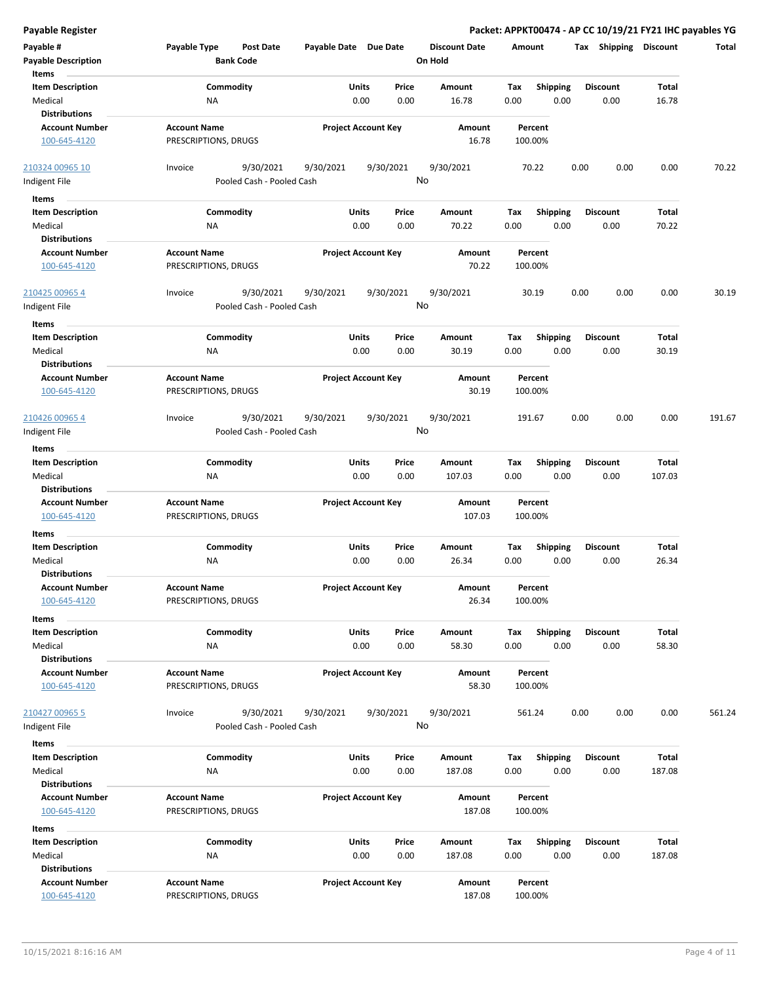| Payable #<br><b>Payable Description</b>                             | Payable Type<br>Post Date<br><b>Bank Code</b>     | Payable Date Due Date      |                 | <b>Discount Date</b><br>On Hold | Amount             |                         | Shipping<br>Tax         | <b>Discount</b> | Total  |
|---------------------------------------------------------------------|---------------------------------------------------|----------------------------|-----------------|---------------------------------|--------------------|-------------------------|-------------------------|-----------------|--------|
| Items<br><b>Item Description</b><br>Medical<br><b>Distributions</b> | Commodity<br>ΝA                                   | Units<br>0.00              | Price<br>0.00   | Amount<br>16.78                 | Tax<br>0.00        | <b>Shipping</b><br>0.00 | <b>Discount</b><br>0.00 | Total<br>16.78  |        |
| <b>Account Number</b><br>100-645-4120                               | <b>Account Name</b><br>PRESCRIPTIONS, DRUGS       | <b>Project Account Key</b> |                 | Amount<br>16.78                 | Percent<br>100.00% |                         |                         |                 |        |
| 210324 00965 10<br>Indigent File                                    | 9/30/2021<br>Invoice<br>Pooled Cash - Pooled Cash | 9/30/2021                  | 9/30/2021<br>No | 9/30/2021                       |                    | 70.22                   | 0.00<br>0.00            | 0.00            | 70.22  |
| Items                                                               |                                                   |                            |                 |                                 |                    |                         |                         |                 |        |
| <b>Item Description</b>                                             | Commodity                                         | Units                      | Price           | Amount                          | Tax                | Shipping                | <b>Discount</b>         | Total           |        |
| Medical                                                             | ΝA                                                | 0.00                       | 0.00            | 70.22                           | 0.00               | 0.00                    | 0.00                    | 70.22           |        |
| <b>Distributions</b>                                                |                                                   |                            |                 |                                 |                    |                         |                         |                 |        |
| <b>Account Number</b><br>100-645-4120                               | <b>Account Name</b><br>PRESCRIPTIONS, DRUGS       | <b>Project Account Key</b> |                 | Amount<br>70.22                 | Percent<br>100.00% |                         |                         |                 |        |
| <u>210425 00965 4</u>                                               | 9/30/2021<br>Invoice<br>Pooled Cash - Pooled Cash | 9/30/2021                  | 9/30/2021<br>No | 9/30/2021                       | 30.19              |                         | 0.00<br>0.00            | 0.00            | 30.19  |
| ndigent File                                                        |                                                   |                            |                 |                                 |                    |                         |                         |                 |        |
| <b>Items</b><br><b>Item Description</b>                             | Commodity                                         | Units                      | Price           | Amount                          | Tax                | <b>Shipping</b>         | <b>Discount</b>         | Total           |        |
| Medical<br><b>Distributions</b>                                     | NA                                                | 0.00                       | 0.00            | 30.19                           | 0.00               | 0.00                    | 0.00                    | 30.19           |        |
| <b>Account Number</b><br>100-645-4120                               | <b>Account Name</b><br>PRESCRIPTIONS, DRUGS       | <b>Project Account Key</b> |                 | Amount<br>30.19                 | Percent<br>100.00% |                         |                         |                 |        |
| 210426 00965 4<br>Indigent File                                     | 9/30/2021<br>Invoice<br>Pooled Cash - Pooled Cash | 9/30/2021                  | 9/30/2021       | 9/30/2021<br>No                 | 191.67             |                         | 0.00<br>0.00            | 0.00            | 191.67 |
| Items                                                               |                                                   |                            |                 |                                 |                    |                         |                         |                 |        |
| <b>Item Description</b>                                             | Commodity                                         | <b>Units</b>               | Price           | Amount                          | Tax                | <b>Shipping</b>         | Discount                | Total           |        |
| Medical<br><b>Distributions</b>                                     | ΝA                                                | 0.00                       | 0.00            | 107.03                          | 0.00               | 0.00                    | 0.00                    | 107.03          |        |
| <b>Account Number</b>                                               | <b>Account Name</b>                               | <b>Project Account Key</b> |                 | Amount                          | Percent            |                         |                         |                 |        |
| 100-645-4120                                                        | PRESCRIPTIONS, DRUGS                              |                            |                 | 107.03                          | 100.00%            |                         |                         |                 |        |
| Items                                                               |                                                   |                            |                 |                                 |                    |                         |                         |                 |        |
| <b>Item Description</b><br>Medical                                  | Commodity<br>ΝA                                   | Units<br>0.00              | Price<br>0.00   | Amount<br>26.34                 | Tax<br>0.00        | <b>Shipping</b><br>0.00 | <b>Discount</b><br>0.00 | Total<br>26.34  |        |
| <b>Distributions</b><br><b>Account Number</b>                       | <b>Account Name</b>                               | <b>Project Account Key</b> |                 | Amount                          | Percent            |                         |                         |                 |        |
| 100-645-4120                                                        | PRESCRIPTIONS, DRUGS                              |                            |                 | 26.34                           | 100.00%            |                         |                         |                 |        |
| Items                                                               |                                                   |                            |                 |                                 |                    |                         |                         |                 |        |
| <b>Item Description</b><br>Medical<br><b>Distributions</b>          | Commodity<br><b>NA</b>                            | Units<br>0.00              | Price<br>0.00   | Amount<br>58.30                 | Tax<br>0.00        | Shipping<br>0.00        | <b>Discount</b><br>0.00 | Total<br>58.30  |        |
| <b>Account Number</b><br>100-645-4120                               | <b>Account Name</b><br>PRESCRIPTIONS, DRUGS       | <b>Project Account Key</b> |                 | Amount<br>58.30                 | Percent<br>100.00% |                         |                         |                 |        |
| 210427 00965 5<br>Indigent File                                     | 9/30/2021<br>Invoice<br>Pooled Cash - Pooled Cash | 9/30/2021                  | 9/30/2021       | 9/30/2021<br>No                 | 561.24             |                         | 0.00<br>0.00            | 0.00            | 561.24 |
| Items                                                               |                                                   |                            |                 |                                 |                    |                         |                         |                 |        |
| <b>Item Description</b>                                             | Commodity                                         | Units                      | Price           | Amount                          | Tax                | <b>Shipping</b>         | <b>Discount</b>         | Total           |        |
| Medical<br><b>Distributions</b>                                     | ΝA                                                | 0.00                       | 0.00            | 187.08                          | 0.00               | 0.00                    | 0.00                    | 187.08          |        |
| <b>Account Number</b><br>100-645-4120                               | <b>Account Name</b><br>PRESCRIPTIONS, DRUGS       | <b>Project Account Key</b> |                 | Amount<br>187.08                | Percent<br>100.00% |                         |                         |                 |        |
| Items                                                               |                                                   |                            |                 |                                 |                    |                         |                         |                 |        |
| <b>Item Description</b>                                             | Commodity                                         | Units                      | Price           | Amount                          | Tax                | <b>Shipping</b>         | <b>Discount</b>         | Total           |        |
| Medical<br><b>Distributions</b>                                     | NA                                                | 0.00                       | 0.00            | 187.08                          | 0.00               | 0.00                    | 0.00                    | 187.08          |        |
| <b>Account Number</b>                                               | <b>Account Name</b>                               | <b>Project Account Key</b> |                 | Amount                          | Percent            |                         |                         |                 |        |
| 100-645-4120                                                        | PRESCRIPTIONS, DRUGS                              |                            |                 | 187.08                          | 100.00%            |                         |                         |                 |        |

**Payable Register Packet: APPKT00474 - AP CC 10/19/21 FY21 IHC payables YG**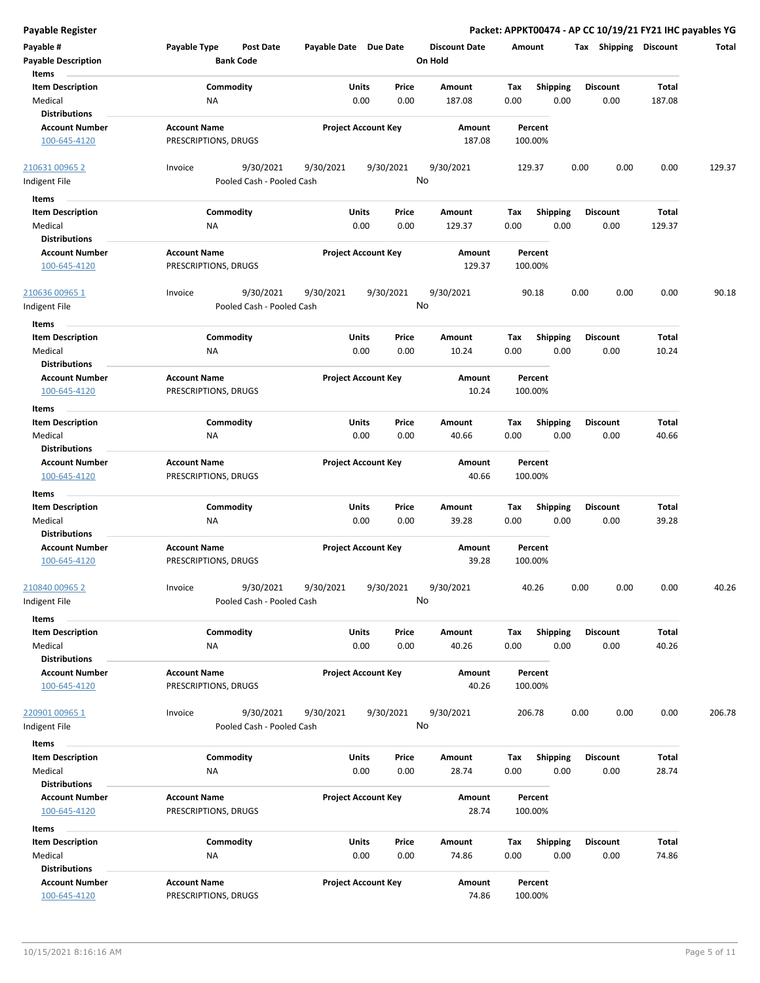| <b>Payable Register</b>                                             |                                                      |                            |               |                                 |                                        | Packet: APPKT00474 - AP CC 10/19/21 FY21 IHC payables YG |                 |        |
|---------------------------------------------------------------------|------------------------------------------------------|----------------------------|---------------|---------------------------------|----------------------------------------|----------------------------------------------------------|-----------------|--------|
| Payable #<br><b>Payable Description</b>                             | Payable Type<br><b>Post Date</b><br><b>Bank Code</b> | Payable Date Due Date      |               | <b>Discount Date</b><br>On Hold | Amount                                 | Tax Shipping Discount                                    |                 | Total  |
| Items<br><b>Item Description</b><br>Medical<br><b>Distributions</b> | Commodity<br>NA                                      | Units<br>0.00              | Price<br>0.00 | Amount<br>187.08                | Tax<br><b>Shipping</b><br>0.00<br>0.00 | <b>Discount</b><br>0.00                                  | Total<br>187.08 |        |
| <b>Account Number</b><br>100-645-4120                               | <b>Account Name</b><br>PRESCRIPTIONS, DRUGS          | <b>Project Account Key</b> |               | Amount<br>187.08                | Percent<br>100.00%                     |                                                          |                 |        |
| 210631 00965 2<br>Indigent File                                     | 9/30/2021<br>Invoice<br>Pooled Cash - Pooled Cash    | 9/30/2021                  | 9/30/2021     | 9/30/2021<br>No                 | 129.37                                 | 0.00<br>0.00                                             | 0.00            | 129.37 |
| Items                                                               |                                                      |                            |               |                                 |                                        |                                                          |                 |        |
| <b>Item Description</b><br>Medical<br><b>Distributions</b>          | Commodity<br>ΝA                                      | Units<br>0.00              | Price<br>0.00 | Amount<br>129.37                | <b>Shipping</b><br>Tax<br>0.00<br>0.00 | <b>Discount</b><br>0.00                                  | Total<br>129.37 |        |
| <b>Account Number</b><br>100-645-4120                               | <b>Account Name</b><br>PRESCRIPTIONS, DRUGS          | <b>Project Account Key</b> |               | Amount<br>129.37                | Percent<br>100.00%                     |                                                          |                 |        |
| 210636 00965 1<br>Indigent File                                     | 9/30/2021<br>Invoice<br>Pooled Cash - Pooled Cash    | 9/30/2021                  | 9/30/2021     | 9/30/2021<br>No                 | 90.18                                  | 0.00<br>0.00                                             | 0.00            | 90.18  |
| Items<br><b>Item Description</b><br>Medical                         | Commodity<br>NA                                      | Units<br>0.00              | Price<br>0.00 | <b>Amount</b><br>10.24          | <b>Shipping</b><br>Tax<br>0.00<br>0.00 | <b>Discount</b><br>0.00                                  | Total<br>10.24  |        |
| <b>Distributions</b><br><b>Account Number</b><br>100-645-4120       | <b>Account Name</b><br>PRESCRIPTIONS, DRUGS          | <b>Project Account Key</b> |               | Amount<br>10.24                 | Percent<br>100.00%                     |                                                          |                 |        |
| Items                                                               |                                                      |                            |               |                                 |                                        |                                                          |                 |        |
| <b>Item Description</b><br>Medical<br><b>Distributions</b>          | Commodity<br>NA                                      | Units<br>0.00              | Price<br>0.00 | Amount<br>40.66                 | Tax<br><b>Shipping</b><br>0.00<br>0.00 | <b>Discount</b><br>0.00                                  | Total<br>40.66  |        |
| <b>Account Number</b><br>100-645-4120                               | <b>Account Name</b><br>PRESCRIPTIONS, DRUGS          | <b>Project Account Key</b> |               | Amount<br>40.66                 | Percent<br>100.00%                     |                                                          |                 |        |
| Items                                                               |                                                      |                            |               |                                 |                                        |                                                          |                 |        |
| <b>Item Description</b><br>Medical<br><b>Distributions</b>          | Commodity<br>NA                                      | Units<br>0.00              | Price<br>0.00 | Amount<br>39.28                 | Tax<br><b>Shipping</b><br>0.00<br>0.00 | <b>Discount</b><br>0.00                                  | Total<br>39.28  |        |
| <b>Account Number</b><br>100-645-4120                               | <b>Account Name</b><br>PRESCRIPTIONS, DRUGS          | <b>Project Account Key</b> |               | Amount<br>39.28                 | Percent<br>100.00%                     |                                                          |                 |        |
| 210840 00965 2<br>Indigent File                                     | 9/30/2021<br>Invoice<br>Pooled Cash - Pooled Cash    | 9/30/2021                  | 9/30/2021     | 9/30/2021<br>No                 | 40.26                                  | 0.00<br>0.00                                             | 0.00            | 40.26  |
| Items<br><b>Item Description</b><br>Medical<br><b>Distributions</b> | Commodity<br>ΝA                                      | Units<br>0.00              | Price<br>0.00 | Amount<br>40.26                 | <b>Shipping</b><br>Tax<br>0.00<br>0.00 | <b>Discount</b><br>0.00                                  | Total<br>40.26  |        |
| <b>Account Number</b><br>100-645-4120                               | <b>Account Name</b><br>PRESCRIPTIONS, DRUGS          | <b>Project Account Key</b> |               | Amount<br>40.26                 | Percent<br>100.00%                     |                                                          |                 |        |
| 220901 00965 1<br>Indigent File                                     | 9/30/2021<br>Invoice<br>Pooled Cash - Pooled Cash    | 9/30/2021                  | 9/30/2021     | 9/30/2021<br>No                 | 206.78                                 | 0.00<br>0.00                                             | 0.00            | 206.78 |
| Items                                                               |                                                      |                            |               |                                 |                                        |                                                          |                 |        |
| <b>Item Description</b><br>Medical<br><b>Distributions</b>          | Commodity<br>NA                                      | Units<br>0.00              | Price<br>0.00 | Amount<br>28.74                 | Shipping<br>Tax<br>0.00<br>0.00        | <b>Discount</b><br>0.00                                  | Total<br>28.74  |        |
| <b>Account Number</b><br>100-645-4120                               | <b>Account Name</b><br>PRESCRIPTIONS, DRUGS          | <b>Project Account Key</b> |               | Amount<br>28.74                 | Percent<br>100.00%                     |                                                          |                 |        |
| Items<br><b>Item Description</b>                                    | Commodity                                            | Units                      | Price         | Amount                          | Tax                                    | <b>Discount</b>                                          | Total           |        |
| Medical<br><b>Distributions</b>                                     | NA                                                   | 0.00                       | 0.00          | 74.86                           | <b>Shipping</b><br>0.00<br>0.00        | 0.00                                                     | 74.86           |        |
| <b>Account Number</b><br>100-645-4120                               | <b>Account Name</b><br>PRESCRIPTIONS, DRUGS          | <b>Project Account Key</b> |               | Amount<br>74.86                 | Percent<br>100.00%                     |                                                          |                 |        |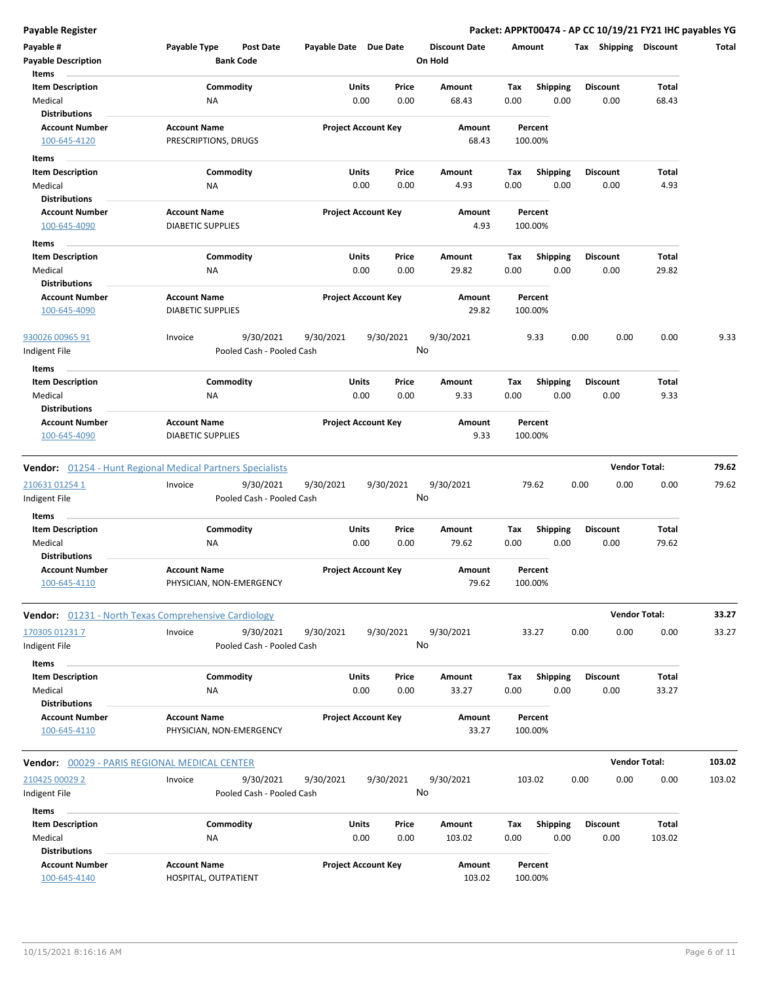**Payable Register Packet: APPKT00474 - AP CC 10/19/21 FY21 IHC payables YG**

| Payable #                             | Payable Type<br><b>Post Date</b>                            | Payable Date Due Date |                                | <b>Discount Date</b> | Amount             |                         | Shipping<br>Tax         | <b>Discount</b>       | Total  |
|---------------------------------------|-------------------------------------------------------------|-----------------------|--------------------------------|----------------------|--------------------|-------------------------|-------------------------|-----------------------|--------|
| <b>Payable Description</b>            | <b>Bank Code</b>                                            |                       |                                | On Hold              |                    |                         |                         |                       |        |
| Items                                 |                                                             |                       |                                |                      |                    |                         |                         |                       |        |
| <b>Item Description</b><br>Medical    | Commodity<br>NA                                             |                       | Units<br>Price<br>0.00<br>0.00 | Amount<br>68.43      | Tax<br>0.00        | <b>Shipping</b><br>0.00 | <b>Discount</b><br>0.00 | <b>Total</b><br>68.43 |        |
| <b>Distributions</b>                  |                                                             |                       |                                |                      |                    |                         |                         |                       |        |
| <b>Account Number</b>                 | <b>Account Name</b>                                         |                       | <b>Project Account Key</b>     | Amount               | Percent            |                         |                         |                       |        |
| 100-645-4120                          | PRESCRIPTIONS, DRUGS                                        |                       |                                | 68.43                | 100.00%            |                         |                         |                       |        |
| Items                                 |                                                             |                       |                                |                      |                    |                         |                         |                       |        |
| <b>Item Description</b>               | Commodity                                                   |                       | Units<br>Price                 | Amount               | Tax                | Shipping                | <b>Discount</b>         | Total                 |        |
| Medical<br><b>Distributions</b>       | NA                                                          |                       | 0.00<br>0.00                   | 4.93                 | 0.00               | 0.00                    | 0.00                    | 4.93                  |        |
| <b>Account Number</b>                 | <b>Account Name</b>                                         |                       | <b>Project Account Key</b>     | Amount               | Percent            |                         |                         |                       |        |
| 100-645-4090                          | <b>DIABETIC SUPPLIES</b>                                    |                       |                                | 4.93                 | 100.00%            |                         |                         |                       |        |
| Items                                 |                                                             |                       |                                |                      |                    |                         |                         |                       |        |
| <b>Item Description</b>               | Commodity                                                   |                       | Units<br>Price                 | Amount               | Tax                | <b>Shipping</b>         | <b>Discount</b>         | Total                 |        |
| Medical                               | NA                                                          |                       | 0.00<br>0.00                   | 29.82                | 0.00               | 0.00                    | 0.00                    | 29.82                 |        |
| <b>Distributions</b>                  |                                                             |                       |                                |                      |                    |                         |                         |                       |        |
| <b>Account Number</b>                 | <b>Account Name</b>                                         |                       | <b>Project Account Key</b>     | Amount               | Percent            |                         |                         |                       |        |
| 100-645-4090                          | <b>DIABETIC SUPPLIES</b>                                    |                       |                                | 29.82                | 100.00%            |                         |                         |                       |        |
| <u>930026 00965 91</u>                | 9/30/2021<br>Invoice                                        | 9/30/2021             | 9/30/2021                      | 9/30/2021            | 9.33               |                         | 0.00<br>0.00            | 0.00                  | 9.33   |
| Indigent File                         | Pooled Cash - Pooled Cash                                   |                       |                                | No                   |                    |                         |                         |                       |        |
| Items                                 |                                                             |                       |                                |                      |                    |                         |                         |                       |        |
| <b>Item Description</b>               | Commodity                                                   |                       | Units<br>Price                 | Amount               | Tax                | Shipping                | <b>Discount</b>         | Total                 |        |
| Medical                               | NA                                                          |                       | 0.00<br>0.00                   | 9.33                 | 0.00               | 0.00                    | 0.00                    | 9.33                  |        |
| <b>Distributions</b>                  |                                                             |                       |                                |                      |                    |                         |                         |                       |        |
| <b>Account Number</b><br>100-645-4090 | <b>Account Name</b><br><b>DIABETIC SUPPLIES</b>             |                       | <b>Project Account Key</b>     | Amount<br>9.33       | Percent<br>100.00% |                         |                         |                       |        |
|                                       |                                                             |                       |                                |                      |                    |                         |                         |                       |        |
|                                       | Vendor: 01254 - Hunt Regional Medical Partners Specialists  |                       |                                |                      |                    |                         | <b>Vendor Total:</b>    |                       | 79.62  |
| 210631 01254 1                        | 9/30/2021<br>Invoice                                        | 9/30/2021             | 9/30/2021                      | 9/30/2021            | 79.62              |                         | 0.00<br>0.00            | 0.00                  | 79.62  |
| Indigent File                         | Pooled Cash - Pooled Cash                                   |                       |                                | No                   |                    |                         |                         |                       |        |
| Items                                 |                                                             |                       |                                |                      |                    |                         |                         |                       |        |
| <b>Item Description</b>               | Commodity                                                   |                       | Units<br>Price                 | Amount               | Tax                | Shipping                | <b>Discount</b>         | Total                 |        |
| Medical                               | <b>NA</b>                                                   |                       | 0.00<br>0.00                   | 79.62                | 0.00               | 0.00                    | 0.00                    | 79.62                 |        |
| <b>Distributions</b>                  |                                                             |                       |                                |                      |                    |                         |                         |                       |        |
| <b>Account Number</b><br>100-645-4110 | <b>Account Name</b><br>PHYSICIAN, NON-EMERGENCY             |                       | <b>Project Account Key</b>     | Amount<br>79.62      | Percent<br>100.00% |                         |                         |                       |        |
|                                       | <b>Vendor:</b> 01231 - North Texas Comprehensive Cardiology |                       |                                |                      |                    |                         | <b>Vendor Total:</b>    |                       | 33.27  |
| 170305 01231 7                        | Invoice<br>9/30/2021                                        | 9/30/2021             | 9/30/2021                      | 9/30/2021            | 33.27              |                         | 0.00<br>0.00            | 0.00                  | 33.27  |
| Indigent File                         | Pooled Cash - Pooled Cash                                   |                       |                                | No                   |                    |                         |                         |                       |        |
| Items                                 |                                                             |                       |                                |                      |                    |                         |                         |                       |        |
| <b>Item Description</b>               | Commodity                                                   |                       | Units<br>Price                 | Amount               | Tax                | <b>Shipping</b>         | <b>Discount</b>         | Total                 |        |
| Medical<br><b>Distributions</b>       | ΝA                                                          |                       | 0.00<br>0.00                   | 33.27                | 0.00               | 0.00                    | 0.00                    | 33.27                 |        |
| <b>Account Number</b>                 | <b>Account Name</b>                                         |                       | <b>Project Account Key</b>     | Amount               | Percent            |                         |                         |                       |        |
| 100-645-4110                          | PHYSICIAN, NON-EMERGENCY                                    |                       |                                | 33.27                | 100.00%            |                         |                         |                       |        |
|                                       | <b>Vendor:</b> 00029 - PARIS REGIONAL MEDICAL CENTER        |                       |                                |                      |                    |                         | <b>Vendor Total:</b>    |                       | 103.02 |
| 210425 00029 2                        | 9/30/2021<br>Invoice                                        | 9/30/2021             | 9/30/2021                      | 9/30/2021            | 103.02             |                         | 0.00<br>0.00            | 0.00                  | 103.02 |
| Indigent File                         | Pooled Cash - Pooled Cash                                   |                       |                                | No                   |                    |                         |                         |                       |        |
| Items                                 |                                                             |                       |                                |                      |                    |                         |                         |                       |        |
| <b>Item Description</b>               | Commodity                                                   |                       | Units<br>Price                 | Amount               | Tax                | <b>Shipping</b>         | <b>Discount</b>         | <b>Total</b>          |        |
| Medical                               | <b>NA</b>                                                   |                       | 0.00<br>0.00                   | 103.02               | 0.00               | 0.00                    | 0.00                    | 103.02                |        |
| <b>Distributions</b>                  |                                                             |                       |                                |                      |                    |                         |                         |                       |        |
| <b>Account Number</b>                 | <b>Account Name</b>                                         |                       | <b>Project Account Key</b>     | Amount               | Percent            |                         |                         |                       |        |
| 100-645-4140                          | HOSPITAL, OUTPATIENT                                        |                       |                                | 103.02               | 100.00%            |                         |                         |                       |        |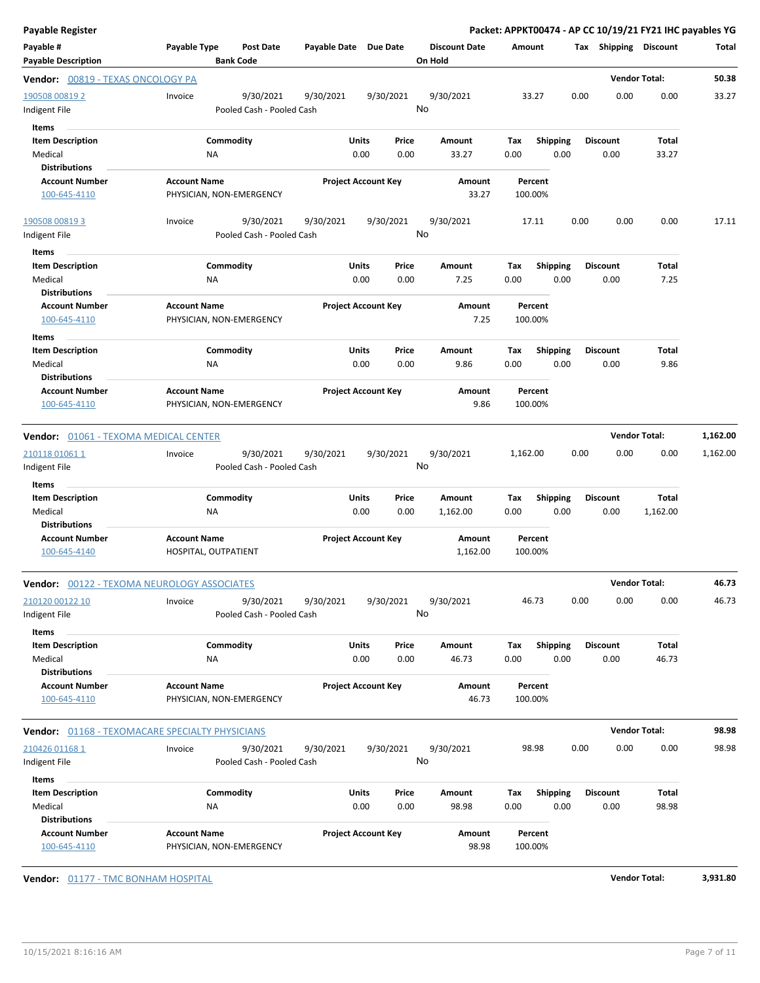| Payable Register                                                           |                                                      |                            |                            |                                 |                    |                         |      |                         | Packet: APPKT00474 - AP CC 10/19/21 FY21 IHC payables YG |          |
|----------------------------------------------------------------------------|------------------------------------------------------|----------------------------|----------------------------|---------------------------------|--------------------|-------------------------|------|-------------------------|----------------------------------------------------------|----------|
| Payable #<br><b>Payable Description</b>                                    | Payable Type<br><b>Post Date</b><br><b>Bank Code</b> | Payable Date Due Date      |                            | <b>Discount Date</b><br>On Hold | Amount             |                         |      | Tax Shipping Discount   |                                                          | Total    |
| Vendor: 00819 - TEXAS ONCOLOGY PA                                          |                                                      |                            |                            |                                 |                    |                         |      |                         | <b>Vendor Total:</b>                                     | 50.38    |
| 190508 00819 2<br>Indigent File<br>Items                                   | 9/30/2021<br>Invoice<br>Pooled Cash - Pooled Cash    | 9/30/2021                  | 9/30/2021                  | 9/30/2021<br>No                 | 33.27              |                         | 0.00 | 0.00                    | 0.00                                                     | 33.27    |
| <b>Item Description</b><br>Medical<br><b>Distributions</b>                 | Commodity<br>ΝA                                      | Units<br>0.00              | Price<br>0.00              | Amount<br>33.27                 | Tax<br>0.00        | <b>Shipping</b><br>0.00 |      | <b>Discount</b><br>0.00 | Total<br>33.27                                           |          |
| <b>Account Number</b><br>100-645-4110                                      | <b>Account Name</b><br>PHYSICIAN, NON-EMERGENCY      |                            | <b>Project Account Key</b> | Amount<br>33.27                 | Percent<br>100.00% |                         |      |                         |                                                          |          |
| 190508 00819 3<br>Indigent File                                            | 9/30/2021<br>Invoice<br>Pooled Cash - Pooled Cash    | 9/30/2021                  | 9/30/2021                  | 9/30/2021<br>No                 | 17.11              |                         | 0.00 | 0.00                    | 0.00                                                     | 17.11    |
| Items<br><b>Item Description</b><br>Medical                                | Commodity<br>NA                                      | Units<br>0.00              | Price<br>0.00              | Amount<br>7.25                  | Tax<br>0.00        | <b>Shipping</b><br>0.00 |      | <b>Discount</b><br>0.00 | Total<br>7.25                                            |          |
| <b>Distributions</b><br><b>Account Number</b><br>100-645-4110              | <b>Account Name</b><br>PHYSICIAN, NON-EMERGENCY      | <b>Project Account Key</b> |                            | Amount<br>7.25                  | Percent<br>100.00% |                         |      |                         |                                                          |          |
| Items<br><b>Item Description</b><br>Medical                                | Commodity<br>NA                                      | Units<br>0.00              | Price<br>0.00              | Amount<br>9.86                  | Tax<br>0.00        | Shipping<br>0.00        |      | <b>Discount</b><br>0.00 | Total<br>9.86                                            |          |
| <b>Distributions</b><br><b>Account Number</b><br>100-645-4110              | <b>Account Name</b><br>PHYSICIAN, NON-EMERGENCY      | <b>Project Account Key</b> |                            | Amount<br>9.86                  | Percent<br>100.00% |                         |      |                         |                                                          |          |
| <b>Vendor:</b> 01061 - TEXOMA MEDICAL CENTER                               |                                                      |                            |                            |                                 |                    |                         |      |                         | <b>Vendor Total:</b>                                     | 1,162.00 |
| 210118 01061 1<br>Indigent File                                            | 9/30/2021<br>Invoice<br>Pooled Cash - Pooled Cash    | 9/30/2021                  | 9/30/2021                  | 9/30/2021<br>No                 | 1,162.00           |                         | 0.00 | 0.00                    | 0.00                                                     | 1,162.00 |
| <b>Items</b><br><b>Item Description</b><br>Medical<br><b>Distributions</b> | Commodity<br>ΝA                                      | Units<br>0.00              | Price<br>0.00              | Amount<br>1,162.00              | Tax<br>0.00        | <b>Shipping</b><br>0.00 |      | <b>Discount</b><br>0.00 | Total<br>1,162.00                                        |          |
| <b>Account Number</b><br>100-645-4140                                      | <b>Account Name</b><br>HOSPITAL, OUTPATIENT          |                            | <b>Project Account Key</b> | Amount<br>1,162.00              | Percent<br>100.00% |                         |      |                         |                                                          |          |
| Vendor: 00122 - TEXOMA NEUROLOGY ASSOCIATES                                |                                                      |                            |                            |                                 |                    |                         |      | <b>Vendor Total:</b>    |                                                          | 46.73    |
| 210120 00122 10<br>Indigent File                                           | 9/30/2021<br>Invoice<br>Pooled Cash - Pooled Cash    | 9/30/2021                  | 9/30/2021                  | 9/30/2021<br>No                 | 46.73              |                         | 0.00 | 0.00                    | 0.00                                                     | 46.73    |
| Items<br><b>Item Description</b><br>Medical<br><b>Distributions</b>        | Commodity<br><b>NA</b>                               | Units<br>0.00              | Price<br>0.00              | Amount<br>46.73                 | Tax<br>0.00        | <b>Shipping</b><br>0.00 |      | <b>Discount</b><br>0.00 | Total<br>46.73                                           |          |
| <b>Account Number</b><br>100-645-4110                                      | <b>Account Name</b><br>PHYSICIAN, NON-EMERGENCY      | <b>Project Account Key</b> |                            | Amount<br>46.73                 | Percent<br>100.00% |                         |      |                         |                                                          |          |
|                                                                            | Vendor: 01168 - TEXOMACARE SPECIALTY PHYSICIANS      |                            |                            |                                 |                    |                         |      |                         | <b>Vendor Total:</b>                                     | 98.98    |
| 210426 01168 1<br>Indigent File                                            | 9/30/2021<br>Invoice<br>Pooled Cash - Pooled Cash    | 9/30/2021                  | 9/30/2021                  | 9/30/2021<br>No                 | 98.98              |                         | 0.00 | 0.00                    | 0.00                                                     | 98.98    |
| Items<br><b>Item Description</b>                                           | Commodity                                            | Units                      | Price                      | Amount                          | Tax                | <b>Shipping</b>         |      | <b>Discount</b>         | Total                                                    |          |
| Medical<br><b>Distributions</b>                                            | NA                                                   | 0.00                       | 0.00                       | 98.98                           | 0.00               | 0.00                    |      | 0.00                    | 98.98                                                    |          |
| <b>Account Number</b><br>100-645-4110                                      | <b>Account Name</b><br>PHYSICIAN, NON-EMERGENCY      | <b>Project Account Key</b> |                            | Amount<br>98.98                 | Percent<br>100.00% |                         |      |                         |                                                          |          |

**Vendor:** 01177 - TMC BONHAM HOSPITAL **Vendor Total: 3,931.80**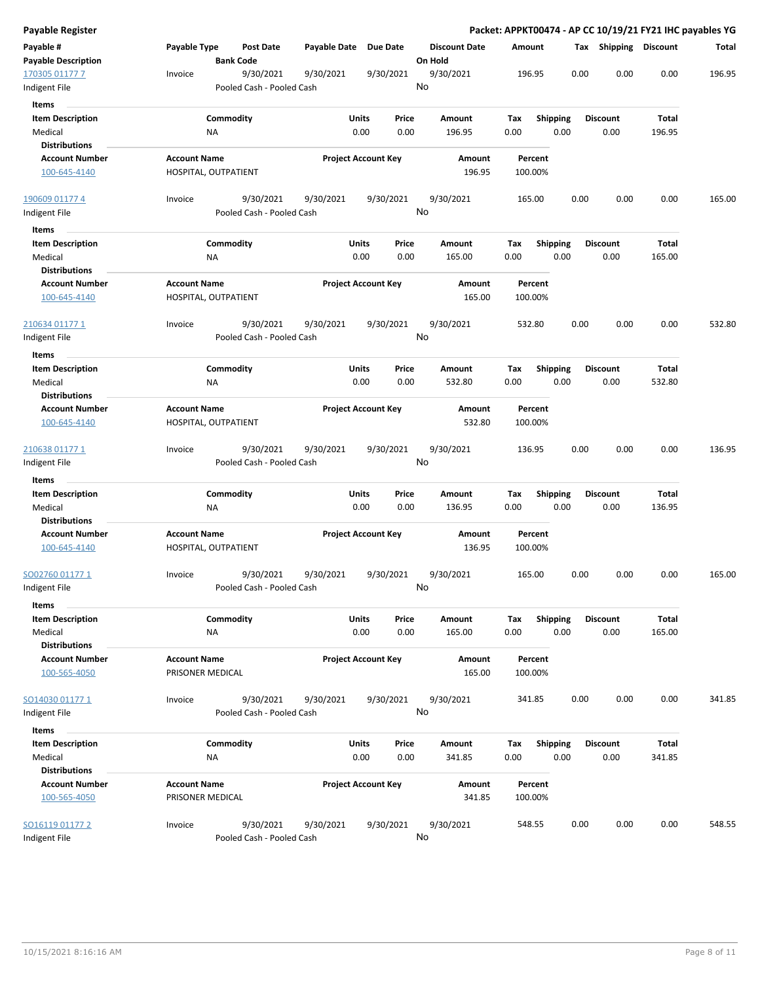| <b>Payable Register</b>               |                                             |                                        |              |                            |                      | Packet: APPKT00474 - AP CC 10/19/21 FY21 IHC payables YG |                 |                       |        |        |
|---------------------------------------|---------------------------------------------|----------------------------------------|--------------|----------------------------|----------------------|----------------------------------------------------------|-----------------|-----------------------|--------|--------|
| Payable #                             | Payable Type                                | <b>Post Date</b>                       | Payable Date | <b>Due Date</b>            | <b>Discount Date</b> | Amount                                                   |                 | Tax Shipping Discount |        | Total  |
| <b>Payable Description</b>            |                                             | <b>Bank Code</b>                       |              |                            | On Hold              |                                                          |                 |                       |        |        |
| 170305 01177 7                        | Invoice                                     | 9/30/2021                              | 9/30/2021    | 9/30/2021                  | 9/30/2021            | 196.95                                                   | 0.00            | 0.00                  | 0.00   | 196.95 |
| Indigent File                         |                                             | Pooled Cash - Pooled Cash              |              |                            | No                   |                                                          |                 |                       |        |        |
| Items                                 |                                             |                                        |              |                            |                      |                                                          |                 |                       |        |        |
| <b>Item Description</b>               |                                             | Commodity                              |              | Units<br>Price             | Amount               | Tax                                                      | <b>Shipping</b> | <b>Discount</b>       | Total  |        |
| Medical                               | NA                                          |                                        |              | 0.00<br>0.00               | 196.95               | 0.00                                                     | 0.00            | 0.00                  | 196.95 |        |
| <b>Distributions</b>                  |                                             |                                        |              |                            |                      |                                                          |                 |                       |        |        |
| <b>Account Number</b>                 | <b>Account Name</b>                         |                                        |              | <b>Project Account Key</b> | Amount               | Percent                                                  |                 |                       |        |        |
| 100-645-4140                          | HOSPITAL, OUTPATIENT                        |                                        |              |                            | 196.95               | 100.00%                                                  |                 |                       |        |        |
| <u>190609 01177 4</u>                 | Invoice                                     | 9/30/2021                              | 9/30/2021    | 9/30/2021                  | 9/30/2021            | 165.00                                                   | 0.00            | 0.00                  | 0.00   | 165.00 |
| Indigent File                         |                                             | Pooled Cash - Pooled Cash              |              |                            | No                   |                                                          |                 |                       |        |        |
| Items                                 |                                             |                                        |              |                            |                      |                                                          |                 |                       |        |        |
| <b>Item Description</b>               |                                             | Commodity                              |              | Units<br>Price             | Amount               | Tax                                                      | <b>Shipping</b> | <b>Discount</b>       | Total  |        |
| Medical                               | ΝA                                          |                                        |              | 0.00<br>0.00               | 165.00               | 0.00                                                     | 0.00            | 0.00                  | 165.00 |        |
| <b>Distributions</b>                  |                                             |                                        |              |                            |                      |                                                          |                 |                       |        |        |
| <b>Account Number</b><br>100-645-4140 | <b>Account Name</b><br>HOSPITAL, OUTPATIENT |                                        |              | <b>Project Account Key</b> | Amount<br>165.00     | Percent<br>100.00%                                       |                 |                       |        |        |
| 210634 01177 1                        | Invoice                                     | 9/30/2021                              | 9/30/2021    | 9/30/2021                  | 9/30/2021            | 532.80                                                   | 0.00            | 0.00                  | 0.00   | 532.80 |
| Indigent File                         |                                             | Pooled Cash - Pooled Cash              |              |                            | No                   |                                                          |                 |                       |        |        |
| Items                                 |                                             |                                        |              |                            |                      |                                                          |                 |                       |        |        |
| <b>Item Description</b>               |                                             | Commodity                              |              | Units<br>Price             | Amount               | Tax                                                      | <b>Shipping</b> | <b>Discount</b>       | Total  |        |
| Medical                               | ΝA                                          |                                        |              | 0.00<br>0.00               | 532.80               | 0.00                                                     | 0.00            | 0.00                  | 532.80 |        |
| <b>Distributions</b>                  |                                             |                                        |              |                            |                      |                                                          |                 |                       |        |        |
| <b>Account Number</b>                 | <b>Account Name</b>                         |                                        |              | <b>Project Account Key</b> | Amount               | Percent                                                  |                 |                       |        |        |
| 100-645-4140                          | HOSPITAL, OUTPATIENT                        |                                        |              |                            | 532.80               | 100.00%                                                  |                 |                       |        |        |
| 210638 01177 1                        | Invoice                                     | 9/30/2021                              | 9/30/2021    | 9/30/2021                  | 9/30/2021            | 136.95                                                   | 0.00            | 0.00                  | 0.00   | 136.95 |
| Indigent File                         |                                             | Pooled Cash - Pooled Cash              |              |                            | No                   |                                                          |                 |                       |        |        |
|                                       |                                             |                                        |              |                            |                      |                                                          |                 |                       |        |        |
| Items                                 |                                             |                                        |              |                            |                      |                                                          |                 |                       |        |        |
| <b>Item Description</b>               |                                             | Commodity                              |              | Units<br>Price             | Amount               | Tax                                                      | <b>Shipping</b> | Discount              | Total  |        |
| Medical<br><b>Distributions</b>       | ΝA                                          |                                        |              | 0.00<br>0.00               | 136.95               | 0.00                                                     | 0.00            | 0.00                  | 136.95 |        |
|                                       | <b>Account Name</b>                         |                                        |              |                            |                      | Percent                                                  |                 |                       |        |        |
| <b>Account Number</b><br>100-645-4140 | HOSPITAL, OUTPATIENT                        |                                        |              | <b>Project Account Key</b> | Amount<br>136.95     | 100.00%                                                  |                 |                       |        |        |
| SO02760 01177 1                       | Invoice                                     | 9/30/2021                              | 9/30/2021    | 9/30/2021                  | 9/30/2021            | 165.00                                                   | 0.00            | 0.00                  | 0.00   | 165.00 |
| Indigent File                         |                                             | Pooled Cash - Pooled Cash              |              |                            | No                   |                                                          |                 |                       |        |        |
| Items                                 |                                             |                                        |              |                            |                      |                                                          |                 |                       |        |        |
| <b>Item Description</b>               |                                             | Commodity                              |              | Units<br>Price             | Amount               | Tax                                                      | Shipping        | Discount              | Total  |        |
| Medical                               | NA                                          |                                        |              | 0.00<br>0.00               | 165.00               | 0.00                                                     | 0.00            | 0.00                  | 165.00 |        |
| <b>Distributions</b>                  |                                             |                                        |              |                            |                      |                                                          |                 |                       |        |        |
| <b>Account Number</b>                 | <b>Account Name</b>                         |                                        |              | <b>Project Account Key</b> | Amount               | Percent                                                  |                 |                       |        |        |
| 100-565-4050                          | PRISONER MEDICAL                            |                                        |              |                            | 165.00               | 100.00%                                                  |                 |                       |        |        |
| SO14030 01177 1                       | Invoice                                     | 9/30/2021                              | 9/30/2021    | 9/30/2021                  | 9/30/2021            | 341.85                                                   | 0.00            | 0.00                  | 0.00   | 341.85 |
| Indigent File                         |                                             | Pooled Cash - Pooled Cash              |              |                            | No                   |                                                          |                 |                       |        |        |
| Items                                 |                                             |                                        |              |                            |                      |                                                          |                 |                       |        |        |
| <b>Item Description</b>               |                                             | Commodity                              |              | Units<br>Price             | Amount               | Tax                                                      | <b>Shipping</b> | <b>Discount</b>       | Total  |        |
| Medical                               | <b>NA</b>                                   |                                        |              | 0.00<br>0.00               | 341.85               | 0.00                                                     | 0.00            | 0.00                  | 341.85 |        |
| <b>Distributions</b>                  |                                             |                                        |              |                            |                      |                                                          |                 |                       |        |        |
| <b>Account Number</b>                 | <b>Account Name</b>                         |                                        |              | <b>Project Account Key</b> | Amount               | Percent                                                  |                 |                       |        |        |
| 100-565-4050                          | PRISONER MEDICAL                            |                                        |              |                            | 341.85               | 100.00%                                                  |                 |                       |        |        |
|                                       |                                             |                                        |              |                            |                      |                                                          |                 |                       |        |        |
| SO16119 01177 2<br>Indigent File      | Invoice                                     | 9/30/2021<br>Pooled Cash - Pooled Cash | 9/30/2021    | 9/30/2021                  | 9/30/2021<br>No      | 548.55                                                   | 0.00            | 0.00                  | 0.00   | 548.55 |
|                                       |                                             |                                        |              |                            |                      |                                                          |                 |                       |        |        |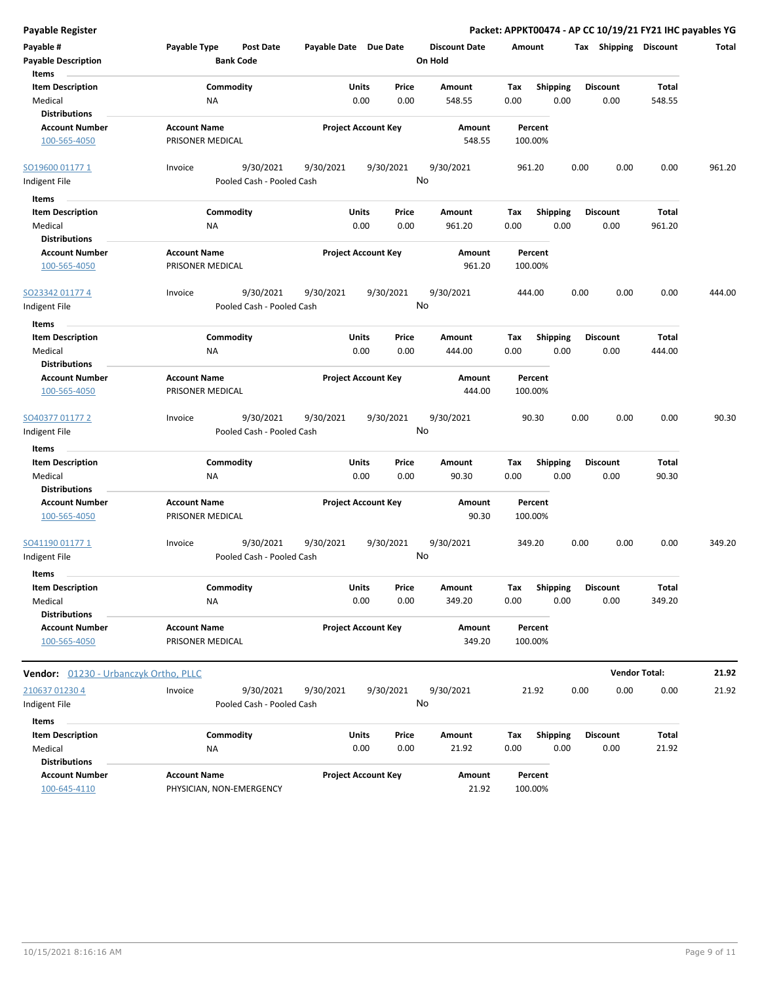| Payable Register                                                    |                                                      |                            |                                          | Packet: APPKT00474 - AP CC 10/19/21 FY21 IHC payables YG |                         |                      |        |
|---------------------------------------------------------------------|------------------------------------------------------|----------------------------|------------------------------------------|----------------------------------------------------------|-------------------------|----------------------|--------|
| Payable #<br><b>Payable Description</b><br>Items                    | Payable Type<br><b>Post Date</b><br><b>Bank Code</b> | Payable Date Due Date      | <b>Discount Date</b><br>On Hold          | Amount                                                   | Tax Shipping Discount   |                      | Total  |
| <b>Item Description</b><br>Medical<br><b>Distributions</b>          | Commodity<br><b>NA</b>                               | Units<br>0.00              | Price<br><b>Amount</b><br>0.00<br>548.55 | <b>Shipping</b><br>Tax<br>0.00<br>0.00                   | <b>Discount</b><br>0.00 | Total<br>548.55      |        |
| <b>Account Number</b><br>100-565-4050                               | <b>Account Name</b><br>PRISONER MEDICAL              | <b>Project Account Key</b> | Amount<br>548.55                         | Percent<br>100.00%                                       |                         |                      |        |
| SO19600 01177 1<br>Indigent File                                    | 9/30/2021<br>Invoice<br>Pooled Cash - Pooled Cash    | 9/30/2021<br>9/30/2021     | 9/30/2021<br>No                          | 961.20                                                   | 0.00<br>0.00            | 0.00                 | 961.20 |
| Items<br><b>Item Description</b><br>Medical                         | Commodity<br><b>NA</b>                               | Units<br>0.00              | Price<br>Amount<br>0.00<br>961.20        | <b>Shipping</b><br>Tax<br>0.00<br>0.00                   | <b>Discount</b><br>0.00 | Total<br>961.20      |        |
| <b>Distributions</b><br><b>Account Number</b><br>100-565-4050       | <b>Account Name</b><br>PRISONER MEDICAL              | <b>Project Account Key</b> | Amount<br>961.20                         | Percent<br>100.00%                                       |                         |                      |        |
| SO23342 01177 4<br>Indigent File                                    | 9/30/2021<br>Invoice<br>Pooled Cash - Pooled Cash    | 9/30/2021<br>9/30/2021     | 9/30/2021<br>No                          | 444.00                                                   | 0.00<br>0.00            | 0.00                 | 444.00 |
| Items<br><b>Item Description</b><br>Medical<br><b>Distributions</b> | Commodity<br><b>NA</b>                               | Units<br>0.00              | Price<br>Amount<br>0.00<br>444.00        | <b>Shipping</b><br>Tax<br>0.00<br>0.00                   | <b>Discount</b><br>0.00 | Total<br>444.00      |        |
| <b>Account Number</b><br>100-565-4050                               | <b>Account Name</b><br>PRISONER MEDICAL              | <b>Project Account Key</b> | Amount<br>444.00                         | Percent<br>100.00%                                       |                         |                      |        |
| SO40377 01177 2<br>Indigent File                                    | 9/30/2021<br>Invoice<br>Pooled Cash - Pooled Cash    | 9/30/2021<br>9/30/2021     | 9/30/2021<br>No                          | 90.30                                                    | 0.00<br>0.00            | 0.00                 | 90.30  |
| Items<br><b>Item Description</b><br>Medical<br><b>Distributions</b> | Commodity<br><b>NA</b>                               | Units<br>0.00              | Price<br>Amount<br>0.00<br>90.30         | <b>Shipping</b><br>Tax<br>0.00<br>0.00                   | <b>Discount</b><br>0.00 | Total<br>90.30       |        |
| <b>Account Number</b><br>100-565-4050                               | <b>Account Name</b><br>PRISONER MEDICAL              | <b>Project Account Key</b> | Amount<br>90.30                          | Percent<br>100.00%                                       |                         |                      |        |
| SO41190 01177 1<br>Indigent File                                    | 9/30/2021<br>Invoice<br>Pooled Cash - Pooled Cash    | 9/30/2021<br>9/30/2021     | 9/30/2021<br>No                          | 349.20                                                   | 0.00<br>0.00            | 0.00                 | 349.20 |
| Items<br><b>Item Description</b><br>Medical<br><b>Distributions</b> | Commodity<br><b>NA</b>                               | Units<br>0.00              | Price<br>Amount<br>0.00<br>349.20        | <b>Shipping</b><br>Tax<br>0.00<br>0.00                   | <b>Discount</b><br>0.00 | Total<br>349.20      |        |
| <b>Account Number</b><br>100-565-4050                               | <b>Account Name</b><br>PRISONER MEDICAL              | <b>Project Account Key</b> | <b>Amount</b><br>349.20                  | Percent<br>100.00%                                       |                         |                      |        |
| Vendor: 01230 - Urbanczyk Ortho, PLLC                               |                                                      |                            |                                          |                                                          |                         | <b>Vendor Total:</b> | 21.92  |
| 210637 01230 4<br>Indigent File                                     | Invoice<br>9/30/2021<br>Pooled Cash - Pooled Cash    | 9/30/2021<br>9/30/2021     | 9/30/2021<br>No                          | 21.92                                                    | 0.00<br>0.00            | 0.00                 | 21.92  |
| Items<br><b>Item Description</b><br>Medical<br><b>Distributions</b> | Commodity<br><b>NA</b>                               | Units<br>0.00              | Price<br>Amount<br>0.00<br>21.92         | <b>Shipping</b><br>Tax<br>0.00<br>0.00                   | <b>Discount</b><br>0.00 | Total<br>21.92       |        |
| <b>Account Number</b><br>100-645-4110                               | <b>Account Name</b><br>PHYSICIAN, NON-EMERGENCY      | <b>Project Account Key</b> | Amount<br>21.92                          | Percent<br>100.00%                                       |                         |                      |        |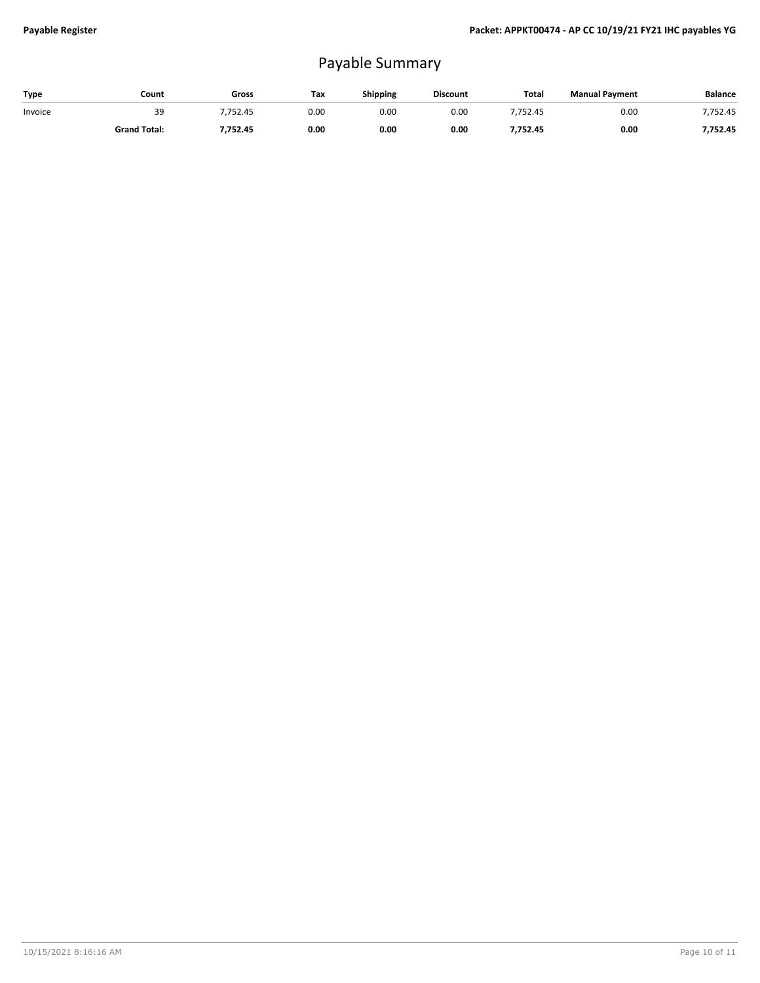## Payable Summary

| Type    | Count               | Gross    | Tax  | Shipping | <b>Discount</b> | Total    | <b>Manual Payment</b> | <b>Balance</b> |
|---------|---------------------|----------|------|----------|-----------------|----------|-----------------------|----------------|
| Invoice | 39                  | 7,752.45 | 0.00 | 0.00     | 0.00            | 7,752.45 | 0.00                  | ,752.45        |
|         | <b>Grand Total:</b> | 752.45   | 0.00 | 0.00     | 0.00            | 7,752.45 | 0.00                  | 7.752.45       |